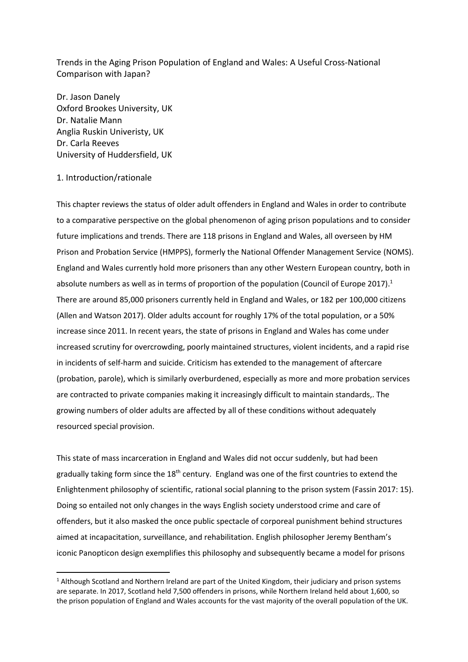Trends in the Aging Prison Population of England and Wales: A Useful Cross-National Comparison with Japan?

Dr. Jason Danely Oxford Brookes University, UK Dr. Natalie Mann Anglia Ruskin Univeristy, UK Dr. Carla Reeves University of Huddersfield, UK

## 1. Introduction/rationale

**.** 

This chapter reviews the status of older adult offenders in England and Wales in order to contribute to a comparative perspective on the global phenomenon of aging prison populations and to consider future implications and trends. There are 118 prisons in England and Wales, all overseen by HM Prison and Probation Service (HMPPS), formerly the National Offender Management Service (NOMS). England and Wales currently hold more prisoners than any other Western European country, both in absolute numbers as well as in terms of proportion of the population (Council of Europe 2017).<sup>1</sup> There are around 85,000 prisoners currently held in England and Wales, or 182 per 100,000 citizens (Allen and Watson 2017). Older adults account for roughly 17% of the total population, or a 50% increase since 2011. In recent years, the state of prisons in England and Wales has come under increased scrutiny for overcrowding, poorly maintained structures, violent incidents, and a rapid rise in incidents of self-harm and suicide. Criticism has extended to the management of aftercare (probation, parole), which is similarly overburdened, especially as more and more probation services are contracted to private companies making it increasingly difficult to maintain standards,. The growing numbers of older adults are affected by all of these conditions without adequately resourced special provision.

This state of mass incarceration in England and Wales did not occur suddenly, but had been gradually taking form since the 18<sup>th</sup> century. England was one of the first countries to extend the Enlightenment philosophy of scientific, rational social planning to the prison system (Fassin 2017: 15). Doing so entailed not only changes in the ways English society understood crime and care of offenders, but it also masked the once public spectacle of corporeal punishment behind structures aimed at incapacitation, surveillance, and rehabilitation. English philosopher Jeremy Bentham's iconic Panopticon design exemplifies this philosophy and subsequently became a model for prisons

 $1$  Although Scotland and Northern Ireland are part of the United Kingdom, their judiciary and prison systems are separate. In 2017, Scotland held 7,500 offenders in prisons, while Northern Ireland held about 1,600, so the prison population of England and Wales accounts for the vast majority of the overall population of the UK.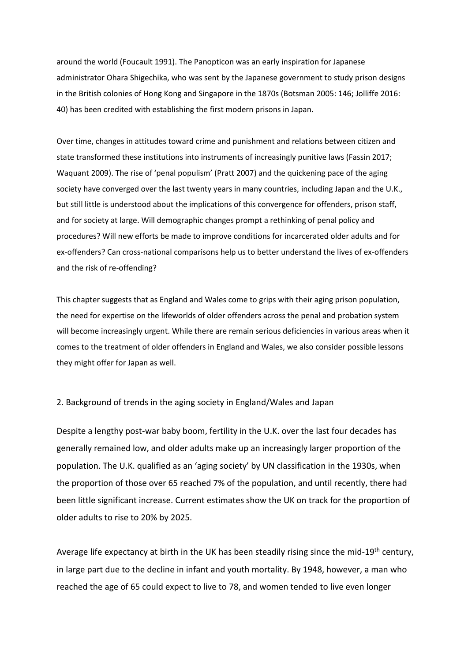around the world (Foucault 1991). The Panopticon was an early inspiration for Japanese administrator Ohara Shigechika, who was sent by the Japanese government to study prison designs in the British colonies of Hong Kong and Singapore in the 1870s (Botsman 2005: 146; Jolliffe 2016: 40) has been credited with establishing the first modern prisons in Japan.

Over time, changes in attitudes toward crime and punishment and relations between citizen and state transformed these institutions into instruments of increasingly punitive laws (Fassin 2017; Waquant 2009). The rise of 'penal populism' (Pratt 2007) and the quickening pace of the aging society have converged over the last twenty years in many countries, including Japan and the U.K., but still little is understood about the implications of this convergence for offenders, prison staff, and for society at large. Will demographic changes prompt a rethinking of penal policy and procedures? Will new efforts be made to improve conditions for incarcerated older adults and for ex-offenders? Can cross-national comparisons help us to better understand the lives of ex-offenders and the risk of re-offending?

This chapter suggests that as England and Wales come to grips with their aging prison population, the need for expertise on the lifeworlds of older offenders across the penal and probation system will become increasingly urgent. While there are remain serious deficiencies in various areas when it comes to the treatment of older offenders in England and Wales, we also consider possible lessons they might offer for Japan as well.

## 2. Background of trends in the aging society in England/Wales and Japan

Despite a lengthy post-war baby boom, fertility in the U.K. over the last four decades has generally remained low, and older adults make up an increasingly larger proportion of the population. The U.K. qualified as an 'aging society' by UN classification in the 1930s, when the proportion of those over 65 reached 7% of the population, and until recently, there had been little significant increase. Current estimates show the UK on track for the proportion of older adults to rise to 20% by 2025.

Average life expectancy at birth in the UK has been steadily rising since the mid-19<sup>th</sup> century, in large part due to the decline in infant and youth mortality. By 1948, however, a man who reached the age of 65 could expect to live to 78, and women tended to live even longer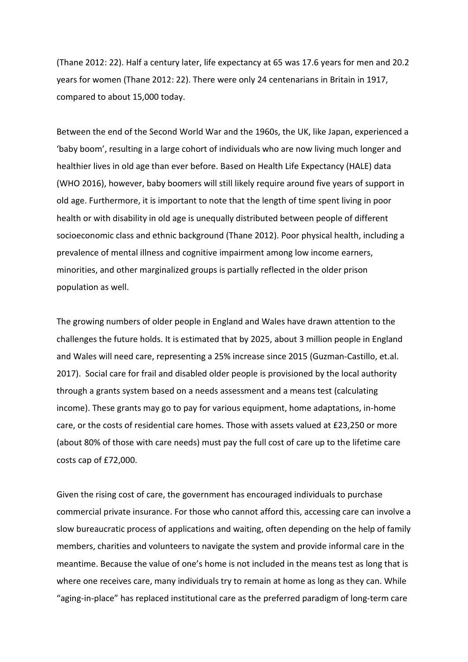(Thane 2012: 22). Half a century later, life expectancy at 65 was 17.6 years for men and 20.2 years for women (Thane 2012: 22). There were only 24 centenarians in Britain in 1917, compared to about 15,000 today.

Between the end of the Second World War and the 1960s, the UK, like Japan, experienced a 'baby boom', resulting in a large cohort of individuals who are now living much longer and healthier lives in old age than ever before. Based on Health Life Expectancy (HALE) data (WHO 2016), however, baby boomers will still likely require around five years of support in old age. Furthermore, it is important to note that the length of time spent living in poor health or with disability in old age is unequally distributed between people of different socioeconomic class and ethnic background (Thane 2012). Poor physical health, including a prevalence of mental illness and cognitive impairment among low income earners, minorities, and other marginalized groups is partially reflected in the older prison population as well.

The growing numbers of older people in England and Wales have drawn attention to the challenges the future holds. It is estimated that by 2025, about 3 million people in England and Wales will need care, representing a 25% increase since 2015 (Guzman-Castillo, et.al. 2017). Social care for frail and disabled older people is provisioned by the local authority through a grants system based on a needs assessment and a means test (calculating income). These grants may go to pay for various equipment, home adaptations, in-home care, or the costs of residential care homes. Those with assets valued at £23,250 or more (about 80% of those with care needs) must pay the full cost of care up to the lifetime care costs cap of £72,000.

Given the rising cost of care, the government has encouraged individuals to purchase commercial private insurance. For those who cannot afford this, accessing care can involve a slow bureaucratic process of applications and waiting, often depending on the help of family members, charities and volunteers to navigate the system and provide informal care in the meantime. Because the value of one's home is not included in the means test as long that is where one receives care, many individuals try to remain at home as long as they can. While "aging-in-place" has replaced institutional care as the preferred paradigm of long-term care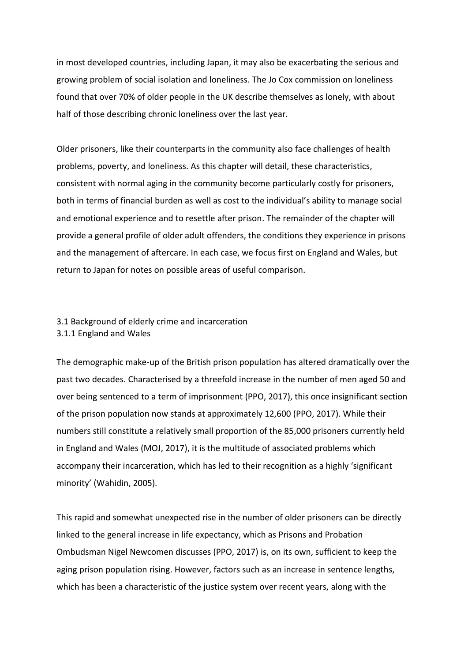in most developed countries, including Japan, it may also be exacerbating the serious and growing problem of social isolation and loneliness. The Jo Cox commission on loneliness found that over 70% of older people in the UK describe themselves as lonely, with about half of those describing chronic loneliness over the last year.

Older prisoners, like their counterparts in the community also face challenges of health problems, poverty, and loneliness. As this chapter will detail, these characteristics, consistent with normal aging in the community become particularly costly for prisoners, both in terms of financial burden as well as cost to the individual's ability to manage social and emotional experience and to resettle after prison. The remainder of the chapter will provide a general profile of older adult offenders, the conditions they experience in prisons and the management of aftercare. In each case, we focus first on England and Wales, but return to Japan for notes on possible areas of useful comparison.

# 3.1 Background of elderly crime and incarceration 3.1.1 England and Wales

The demographic make-up of the British prison population has altered dramatically over the past two decades. Characterised by a threefold increase in the number of men aged 50 and over being sentenced to a term of imprisonment (PPO, 2017), this once insignificant section of the prison population now stands at approximately 12,600 (PPO, 2017). While their numbers still constitute a relatively small proportion of the 85,000 prisoners currently held in England and Wales (MOJ, 2017), it is the multitude of associated problems which accompany their incarceration, which has led to their recognition as a highly 'significant minority' (Wahidin, 2005).

This rapid and somewhat unexpected rise in the number of older prisoners can be directly linked to the general increase in life expectancy, which as Prisons and Probation Ombudsman Nigel Newcomen discusses (PPO, 2017) is, on its own, sufficient to keep the aging prison population rising. However, factors such as an increase in sentence lengths, which has been a characteristic of the justice system over recent years, along with the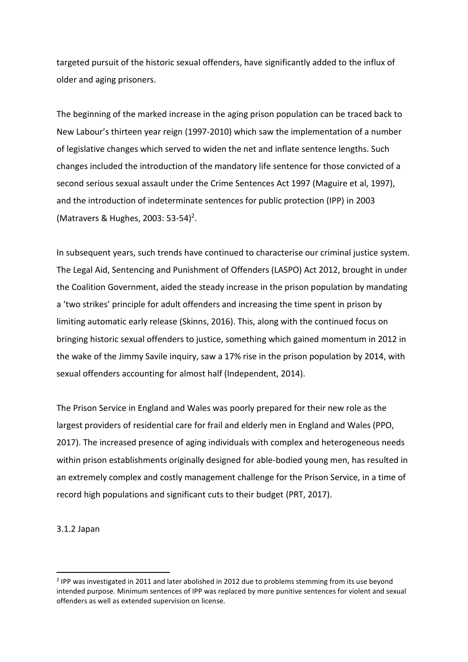targeted pursuit of the historic sexual offenders, have significantly added to the influx of older and aging prisoners.

The beginning of the marked increase in the aging prison population can be traced back to New Labour's thirteen year reign (1997-2010) which saw the implementation of a number of legislative changes which served to widen the net and inflate sentence lengths. Such changes included the introduction of the mandatory life sentence for those convicted of a second serious sexual assault under the Crime Sentences Act 1997 (Maguire et al, 1997), and the introduction of indeterminate sentences for public protection (IPP) in 2003 (Matravers & Hughes, 2003: 53-54)<sup>2</sup>.

In subsequent years, such trends have continued to characterise our criminal justice system. The Legal Aid, Sentencing and Punishment of Offenders (LASPO) Act 2012, brought in under the Coalition Government, aided the steady increase in the prison population by mandating a 'two strikes' principle for adult offenders and increasing the time spent in prison by limiting automatic early release (Skinns, 2016). This, along with the continued focus on bringing historic sexual offenders to justice, something which gained momentum in 2012 in the wake of the Jimmy Savile inquiry, saw a 17% rise in the prison population by 2014, with sexual offenders accounting for almost half (Independent, 2014).

The Prison Service in England and Wales was poorly prepared for their new role as the largest providers of residential care for frail and elderly men in England and Wales (PPO, 2017). The increased presence of aging individuals with complex and heterogeneous needs within prison establishments originally designed for able-bodied young men, has resulted in an extremely complex and costly management challenge for the Prison Service, in a time of record high populations and significant cuts to their budget (PRT, 2017).

3.1.2 Japan

**.** 

<sup>&</sup>lt;sup>2</sup> IPP was investigated in 2011 and later abolished in 2012 due to problems stemming from its use beyond intended purpose. Minimum sentences of IPP was replaced by more punitive sentences for violent and sexual offenders as well as extended supervision on license.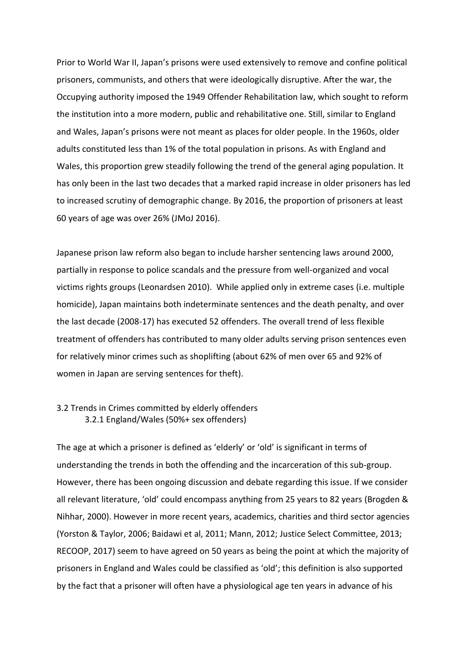Prior to World War II, Japan's prisons were used extensively to remove and confine political prisoners, communists, and others that were ideologically disruptive. After the war, the Occupying authority imposed the 1949 Offender Rehabilitation law, which sought to reform the institution into a more modern, public and rehabilitative one. Still, similar to England and Wales, Japan's prisons were not meant as places for older people. In the 1960s, older adults constituted less than 1% of the total population in prisons. As with England and Wales, this proportion grew steadily following the trend of the general aging population. It has only been in the last two decades that a marked rapid increase in older prisoners has led to increased scrutiny of demographic change. By 2016, the proportion of prisoners at least 60 years of age was over 26% (JMoJ 2016).

Japanese prison law reform also began to include harsher sentencing laws around 2000, partially in response to police scandals and the pressure from well-organized and vocal victims rights groups (Leonardsen 2010). While applied only in extreme cases (i.e. multiple homicide), Japan maintains both indeterminate sentences and the death penalty, and over the last decade (2008-17) has executed 52 offenders. The overall trend of less flexible treatment of offenders has contributed to many older adults serving prison sentences even for relatively minor crimes such as shoplifting (about 62% of men over 65 and 92% of women in Japan are serving sentences for theft).

# 3.2 Trends in Crimes committed by elderly offenders 3.2.1 England/Wales (50%+ sex offenders)

The age at which a prisoner is defined as 'elderly' or 'old' is significant in terms of understanding the trends in both the offending and the incarceration of this sub-group. However, there has been ongoing discussion and debate regarding this issue. If we consider all relevant literature, 'old' could encompass anything from 25 years to 82 years (Brogden & Nihhar, 2000). However in more recent years, academics, charities and third sector agencies (Yorston & Taylor, 2006; Baidawi et al, 2011; Mann, 2012; Justice Select Committee, 2013; RECOOP, 2017) seem to have agreed on 50 years as being the point at which the majority of prisoners in England and Wales could be classified as 'old'; this definition is also supported by the fact that a prisoner will often have a physiological age ten years in advance of his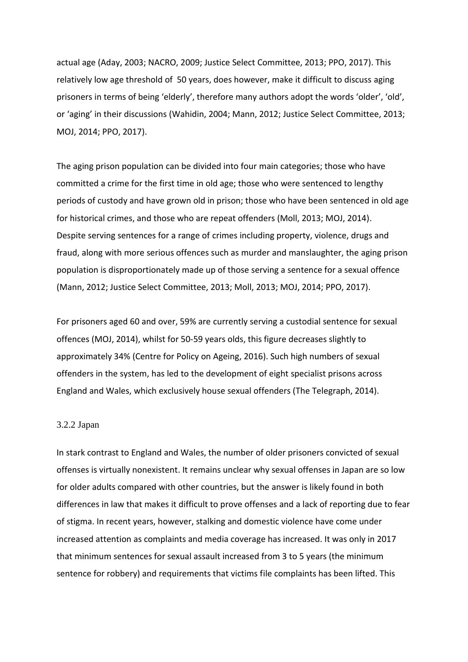actual age (Aday, 2003; NACRO, 2009; Justice Select Committee, 2013; PPO, 2017). This relatively low age threshold of 50 years, does however, make it difficult to discuss aging prisoners in terms of being 'elderly', therefore many authors adopt the words 'older', 'old', or 'aging' in their discussions (Wahidin, 2004; Mann, 2012; Justice Select Committee, 2013; MOJ, 2014; PPO, 2017).

The aging prison population can be divided into four main categories; those who have committed a crime for the first time in old age; those who were sentenced to lengthy periods of custody and have grown old in prison; those who have been sentenced in old age for historical crimes, and those who are repeat offenders (Moll, 2013; MOJ, 2014). Despite serving sentences for a range of crimes including property, violence, drugs and fraud, along with more serious offences such as murder and manslaughter, the aging prison population is disproportionately made up of those serving a sentence for a sexual offence (Mann, 2012; Justice Select Committee, 2013; Moll, 2013; MOJ, 2014; PPO, 2017).

For prisoners aged 60 and over, 59% are currently serving a custodial sentence for sexual offences (MOJ, 2014), whilst for 50-59 years olds, this figure decreases slightly to approximately 34% (Centre for Policy on Ageing, 2016). Such high numbers of sexual offenders in the system, has led to the development of eight specialist prisons across England and Wales, which exclusively house sexual offenders (The Telegraph, 2014).

### 3.2.2 Japan

In stark contrast to England and Wales, the number of older prisoners convicted of sexual offenses is virtually nonexistent. It remains unclear why sexual offenses in Japan are so low for older adults compared with other countries, but the answer is likely found in both differences in law that makes it difficult to prove offenses and a lack of reporting due to fear of stigma. In recent years, however, stalking and domestic violence have come under increased attention as complaints and media coverage has increased. It was only in 2017 that minimum sentences for sexual assault increased from 3 to 5 years (the minimum sentence for robbery) and requirements that victims file complaints has been lifted. This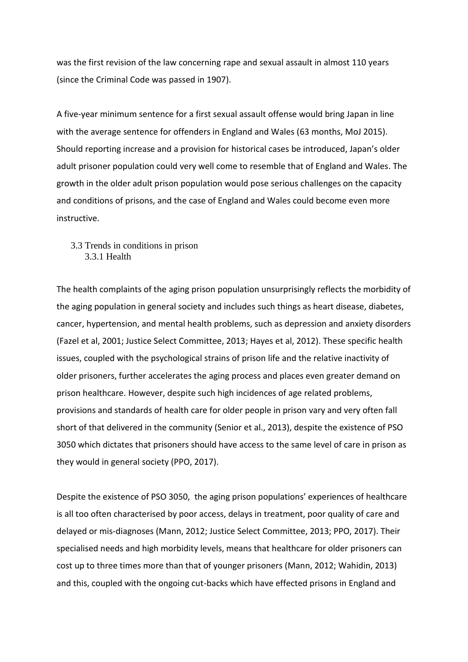was the first revision of the law concerning rape and sexual assault in almost 110 years (since the Criminal Code was passed in 1907).

A five-year minimum sentence for a first sexual assault offense would bring Japan in line with the average sentence for offenders in England and Wales (63 months, MoJ 2015). Should reporting increase and a provision for historical cases be introduced, Japan's older adult prisoner population could very well come to resemble that of England and Wales. The growth in the older adult prison population would pose serious challenges on the capacity and conditions of prisons, and the case of England and Wales could become even more instructive.

3.3 Trends in conditions in prison 3.3.1 Health

The health complaints of the aging prison population unsurprisingly reflects the morbidity of the aging population in general society and includes such things as heart disease, diabetes, cancer, hypertension, and mental health problems, such as depression and anxiety disorders (Fazel et al, 2001; Justice Select Committee, 2013; Hayes et al, 2012). These specific health issues, coupled with the psychological strains of prison life and the relative inactivity of older prisoners, further accelerates the aging process and places even greater demand on prison healthcare. However, despite such high incidences of age related problems, provisions and standards of health care for older people in prison vary and very often fall short of that delivered in the community (Senior et al., 2013), despite the existence of PSO 3050 which dictates that prisoners should have access to the same level of care in prison as they would in general society (PPO, 2017).

Despite the existence of PSO 3050, the aging prison populations' experiences of healthcare is all too often characterised by poor access, delays in treatment, poor quality of care and delayed or mis-diagnoses (Mann, 2012; Justice Select Committee, 2013; PPO, 2017). Their specialised needs and high morbidity levels, means that healthcare for older prisoners can cost up to three times more than that of younger prisoners (Mann, 2012; Wahidin, 2013) and this, coupled with the ongoing cut-backs which have effected prisons in England and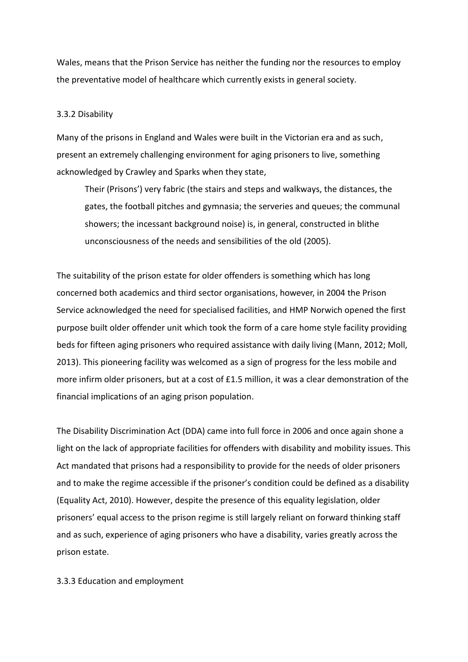Wales, means that the Prison Service has neither the funding nor the resources to employ the preventative model of healthcare which currently exists in general society.

## 3.3.2 Disability

Many of the prisons in England and Wales were built in the Victorian era and as such, present an extremely challenging environment for aging prisoners to live, something acknowledged by Crawley and Sparks when they state,

Their (Prisons') very fabric (the stairs and steps and walkways, the distances, the gates, the football pitches and gymnasia; the serveries and queues; the communal showers; the incessant background noise) is, in general, constructed in blithe unconsciousness of the needs and sensibilities of the old (2005).

The suitability of the prison estate for older offenders is something which has long concerned both academics and third sector organisations, however, in 2004 the Prison Service acknowledged the need for specialised facilities, and HMP Norwich opened the first purpose built older offender unit which took the form of a care home style facility providing beds for fifteen aging prisoners who required assistance with daily living (Mann, 2012; Moll, 2013). This pioneering facility was welcomed as a sign of progress for the less mobile and more infirm older prisoners, but at a cost of £1.5 million, it was a clear demonstration of the financial implications of an aging prison population.

The Disability Discrimination Act (DDA) came into full force in 2006 and once again shone a light on the lack of appropriate facilities for offenders with disability and mobility issues. This Act mandated that prisons had a responsibility to provide for the needs of older prisoners and to make the regime accessible if the prisoner's condition could be defined as a disability (Equality Act, 2010). However, despite the presence of this equality legislation, older prisoners' equal access to the prison regime is still largely reliant on forward thinking staff and as such, experience of aging prisoners who have a disability, varies greatly across the prison estate.

3.3.3 Education and employment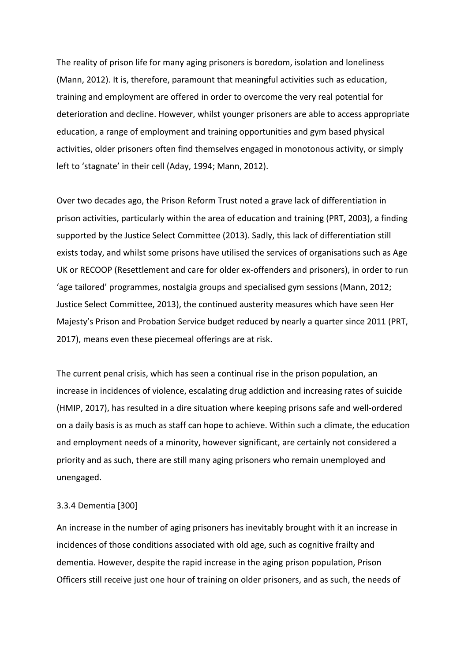The reality of prison life for many aging prisoners is boredom, isolation and loneliness (Mann, 2012). It is, therefore, paramount that meaningful activities such as education, training and employment are offered in order to overcome the very real potential for deterioration and decline. However, whilst younger prisoners are able to access appropriate education, a range of employment and training opportunities and gym based physical activities, older prisoners often find themselves engaged in monotonous activity, or simply left to 'stagnate' in their cell (Aday, 1994; Mann, 2012).

Over two decades ago, the Prison Reform Trust noted a grave lack of differentiation in prison activities, particularly within the area of education and training (PRT, 2003), a finding supported by the Justice Select Committee (2013). Sadly, this lack of differentiation still exists today, and whilst some prisons have utilised the services of organisations such as Age UK or RECOOP (Resettlement and care for older ex-offenders and prisoners), in order to run 'age tailored' programmes, nostalgia groups and specialised gym sessions (Mann, 2012; Justice Select Committee, 2013), the continued austerity measures which have seen Her Majesty's Prison and Probation Service budget reduced by nearly a quarter since 2011 (PRT, 2017), means even these piecemeal offerings are at risk.

The current penal crisis, which has seen a continual rise in the prison population, an increase in incidences of violence, escalating drug addiction and increasing rates of suicide (HMIP, 2017), has resulted in a dire situation where keeping prisons safe and well-ordered on a daily basis is as much as staff can hope to achieve. Within such a climate, the education and employment needs of a minority, however significant, are certainly not considered a priority and as such, there are still many aging prisoners who remain unemployed and unengaged.

#### 3.3.4 Dementia [300]

An increase in the number of aging prisoners has inevitably brought with it an increase in incidences of those conditions associated with old age, such as cognitive frailty and dementia. However, despite the rapid increase in the aging prison population, Prison Officers still receive just one hour of training on older prisoners, and as such, the needs of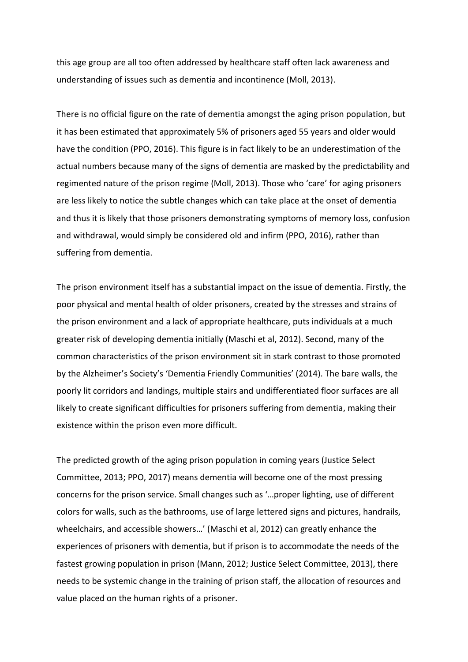this age group are all too often addressed by healthcare staff often lack awareness and understanding of issues such as dementia and incontinence (Moll, 2013).

There is no official figure on the rate of dementia amongst the aging prison population, but it has been estimated that approximately 5% of prisoners aged 55 years and older would have the condition (PPO, 2016). This figure is in fact likely to be an underestimation of the actual numbers because many of the signs of dementia are masked by the predictability and regimented nature of the prison regime (Moll, 2013). Those who 'care' for aging prisoners are less likely to notice the subtle changes which can take place at the onset of dementia and thus it is likely that those prisoners demonstrating symptoms of memory loss, confusion and withdrawal, would simply be considered old and infirm (PPO, 2016), rather than suffering from dementia.

The prison environment itself has a substantial impact on the issue of dementia. Firstly, the poor physical and mental health of older prisoners, created by the stresses and strains of the prison environment and a lack of appropriate healthcare, puts individuals at a much greater risk of developing dementia initially (Maschi et al, 2012). Second, many of the common characteristics of the prison environment sit in stark contrast to those promoted by the Alzheimer's Society's 'Dementia Friendly Communities' (2014). The bare walls, the poorly lit corridors and landings, multiple stairs and undifferentiated floor surfaces are all likely to create significant difficulties for prisoners suffering from dementia, making their existence within the prison even more difficult.

The predicted growth of the aging prison population in coming years (Justice Select Committee, 2013; PPO, 2017) means dementia will become one of the most pressing concerns for the prison service. Small changes such as '…proper lighting, use of different colors for walls, such as the bathrooms, use of large lettered signs and pictures, handrails, wheelchairs, and accessible showers…' (Maschi et al, 2012) can greatly enhance the experiences of prisoners with dementia, but if prison is to accommodate the needs of the fastest growing population in prison (Mann, 2012; Justice Select Committee, 2013), there needs to be systemic change in the training of prison staff, the allocation of resources and value placed on the human rights of a prisoner.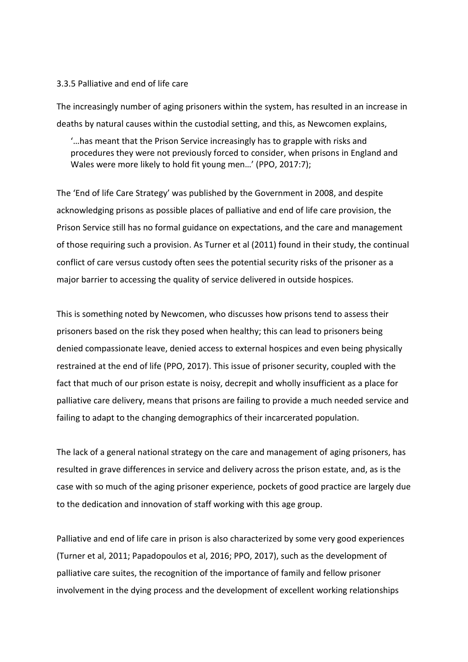### 3.3.5 Palliative and end of life care

The increasingly number of aging prisoners within the system, has resulted in an increase in deaths by natural causes within the custodial setting, and this, as Newcomen explains,

'…has meant that the Prison Service increasingly has to grapple with risks and procedures they were not previously forced to consider, when prisons in England and Wales were more likely to hold fit young men…' (PPO, 2017:7);

The 'End of life Care Strategy' was published by the Government in 2008, and despite acknowledging prisons as possible places of palliative and end of life care provision, the Prison Service still has no formal guidance on expectations, and the care and management of those requiring such a provision. As Turner et al (2011) found in their study, the continual conflict of care versus custody often sees the potential security risks of the prisoner as a major barrier to accessing the quality of service delivered in outside hospices.

This is something noted by Newcomen, who discusses how prisons tend to assess their prisoners based on the risk they posed when healthy; this can lead to prisoners being denied compassionate leave, denied access to external hospices and even being physically restrained at the end of life (PPO, 2017). This issue of prisoner security, coupled with the fact that much of our prison estate is noisy, decrepit and wholly insufficient as a place for palliative care delivery, means that prisons are failing to provide a much needed service and failing to adapt to the changing demographics of their incarcerated population.

The lack of a general national strategy on the care and management of aging prisoners, has resulted in grave differences in service and delivery across the prison estate, and, as is the case with so much of the aging prisoner experience, pockets of good practice are largely due to the dedication and innovation of staff working with this age group.

Palliative and end of life care in prison is also characterized by some very good experiences (Turner et al, 2011; Papadopoulos et al, 2016; PPO, 2017), such as the development of palliative care suites, the recognition of the importance of family and fellow prisoner involvement in the dying process and the development of excellent working relationships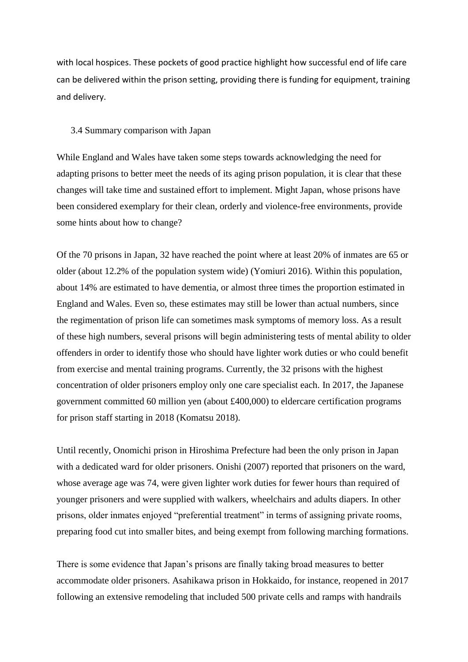with local hospices. These pockets of good practice highlight how successful end of life care can be delivered within the prison setting, providing there is funding for equipment, training and delivery.

## 3.4 Summary comparison with Japan

While England and Wales have taken some steps towards acknowledging the need for adapting prisons to better meet the needs of its aging prison population, it is clear that these changes will take time and sustained effort to implement. Might Japan, whose prisons have been considered exemplary for their clean, orderly and violence-free environments, provide some hints about how to change?

Of the 70 prisons in Japan, 32 have reached the point where at least 20% of inmates are 65 or older (about 12.2% of the population system wide) (Yomiuri 2016). Within this population, about 14% are estimated to have dementia, or almost three times the proportion estimated in England and Wales. Even so, these estimates may still be lower than actual numbers, since the regimentation of prison life can sometimes mask symptoms of memory loss. As a result of these high numbers, several prisons will begin administering tests of mental ability to older offenders in order to identify those who should have lighter work duties or who could benefit from exercise and mental training programs. Currently, the 32 prisons with the highest concentration of older prisoners employ only one care specialist each. In 2017, the Japanese government committed 60 million yen (about £400,000) to eldercare certification programs for prison staff starting in 2018 (Komatsu 2018).

Until recently, Onomichi prison in Hiroshima Prefecture had been the only prison in Japan with a dedicated ward for older prisoners. Onishi (2007) reported that prisoners on the ward, whose average age was 74, were given lighter work duties for fewer hours than required of younger prisoners and were supplied with walkers, wheelchairs and adults diapers. In other prisons, older inmates enjoyed "preferential treatment" in terms of assigning private rooms, preparing food cut into smaller bites, and being exempt from following marching formations.

There is some evidence that Japan's prisons are finally taking broad measures to better accommodate older prisoners. Asahikawa prison in Hokkaido, for instance, reopened in 2017 following an extensive remodeling that included 500 private cells and ramps with handrails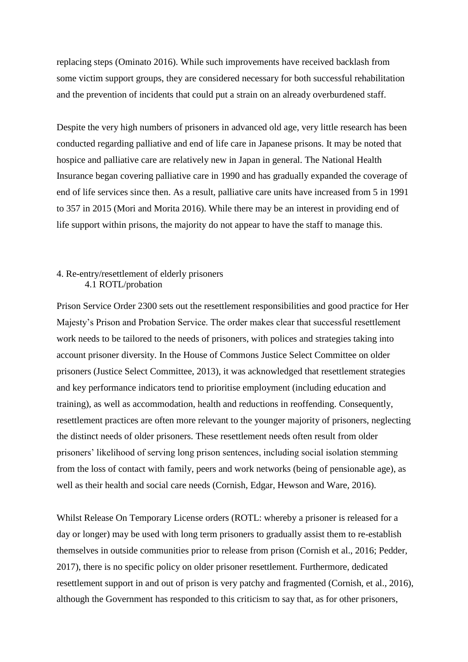replacing steps (Ominato 2016). While such improvements have received backlash from some victim support groups, they are considered necessary for both successful rehabilitation and the prevention of incidents that could put a strain on an already overburdened staff.

Despite the very high numbers of prisoners in advanced old age, very little research has been conducted regarding palliative and end of life care in Japanese prisons. It may be noted that hospice and palliative care are relatively new in Japan in general. The National Health Insurance began covering palliative care in 1990 and has gradually expanded the coverage of end of life services since then. As a result, palliative care units have increased from 5 in 1991 to 357 in 2015 (Mori and Morita 2016). While there may be an interest in providing end of life support within prisons, the majority do not appear to have the staff to manage this.

# 4. Re-entry/resettlement of elderly prisoners 4.1 ROTL/probation

Prison Service Order 2300 sets out the resettlement responsibilities and good practice for Her Majesty's Prison and Probation Service. The order makes clear that successful resettlement work needs to be tailored to the needs of prisoners, with polices and strategies taking into account prisoner diversity. In the House of Commons Justice Select Committee on older prisoners (Justice Select Committee, 2013), it was acknowledged that resettlement strategies and key performance indicators tend to prioritise employment (including education and training), as well as accommodation, health and reductions in reoffending. Consequently, resettlement practices are often more relevant to the younger majority of prisoners, neglecting the distinct needs of older prisoners. These resettlement needs often result from older prisoners' likelihood of serving long prison sentences, including social isolation stemming from the loss of contact with family, peers and work networks (being of pensionable age), as well as their health and social care needs (Cornish, Edgar, Hewson and Ware, 2016).

Whilst Release On Temporary License orders (ROTL: whereby a prisoner is released for a day or longer) may be used with long term prisoners to gradually assist them to re-establish themselves in outside communities prior to release from prison (Cornish et al., 2016; Pedder, 2017), there is no specific policy on older prisoner resettlement. Furthermore, dedicated resettlement support in and out of prison is very patchy and fragmented (Cornish, et al., 2016), although the Government has responded to this criticism to say that, as for other prisoners,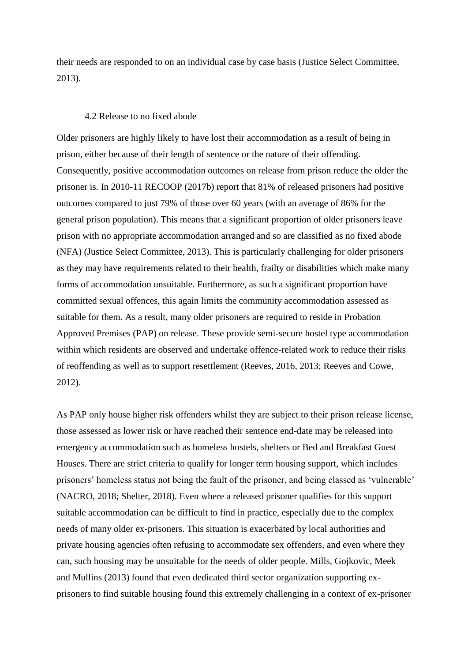their needs are responded to on an individual case by case basis (Justice Select Committee, 2013).

### 4.2 Release to no fixed abode

Older prisoners are highly likely to have lost their accommodation as a result of being in prison, either because of their length of sentence or the nature of their offending. Consequently, positive accommodation outcomes on release from prison reduce the older the prisoner is. In 2010-11 RECOOP (2017b) report that 81% of released prisoners had positive outcomes compared to just 79% of those over 60 years (with an average of 86% for the general prison population). This means that a significant proportion of older prisoners leave prison with no appropriate accommodation arranged and so are classified as no fixed abode (NFA) (Justice Select Committee, 2013). This is particularly challenging for older prisoners as they may have requirements related to their health, frailty or disabilities which make many forms of accommodation unsuitable. Furthermore, as such a significant proportion have committed sexual offences, this again limits the community accommodation assessed as suitable for them. As a result, many older prisoners are required to reside in Probation Approved Premises (PAP) on release. These provide semi-secure hostel type accommodation within which residents are observed and undertake offence-related work to reduce their risks of reoffending as well as to support resettlement (Reeves, 2016, 2013; Reeves and Cowe, 2012).

As PAP only house higher risk offenders whilst they are subject to their prison release license, those assessed as lower risk or have reached their sentence end-date may be released into emergency accommodation such as homeless hostels, shelters or Bed and Breakfast Guest Houses. There are strict criteria to qualify for longer term housing support, which includes prisoners' homeless status not being the fault of the prisoner, and being classed as 'vulnerable' (NACRO, 2018; Shelter, 2018). Even where a released prisoner qualifies for this support suitable accommodation can be difficult to find in practice, especially due to the complex needs of many older ex-prisoners. This situation is exacerbated by local authorities and private housing agencies often refusing to accommodate sex offenders, and even where they can, such housing may be unsuitable for the needs of older people. Mills, Gojkovic, Meek and Mullins (2013) found that even dedicated third sector organization supporting exprisoners to find suitable housing found this extremely challenging in a context of ex-prisoner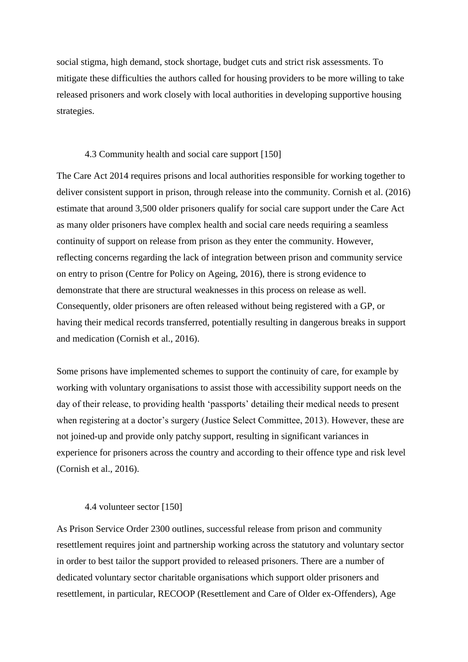social stigma, high demand, stock shortage, budget cuts and strict risk assessments. To mitigate these difficulties the authors called for housing providers to be more willing to take released prisoners and work closely with local authorities in developing supportive housing strategies.

## 4.3 Community health and social care support [150]

The Care Act 2014 requires prisons and local authorities responsible for working together to deliver consistent support in prison, through release into the community. Cornish et al. (2016) estimate that around 3,500 older prisoners qualify for social care support under the Care Act as many older prisoners have complex health and social care needs requiring a seamless continuity of support on release from prison as they enter the community. However, reflecting concerns regarding the lack of integration between prison and community service on entry to prison (Centre for Policy on Ageing, 2016), there is strong evidence to demonstrate that there are structural weaknesses in this process on release as well. Consequently, older prisoners are often released without being registered with a GP, or having their medical records transferred, potentially resulting in dangerous breaks in support and medication (Cornish et al., 2016).

Some prisons have implemented schemes to support the continuity of care, for example by working with voluntary organisations to assist those with accessibility support needs on the day of their release, to providing health 'passports' detailing their medical needs to present when registering at a doctor's surgery (Justice Select Committee, 2013). However, these are not joined-up and provide only patchy support, resulting in significant variances in experience for prisoners across the country and according to their offence type and risk level (Cornish et al., 2016).

## 4.4 volunteer sector [150]

As Prison Service Order 2300 outlines, successful release from prison and community resettlement requires joint and partnership working across the statutory and voluntary sector in order to best tailor the support provided to released prisoners. There are a number of dedicated voluntary sector charitable organisations which support older prisoners and resettlement, in particular, RECOOP (Resettlement and Care of Older ex-Offenders), Age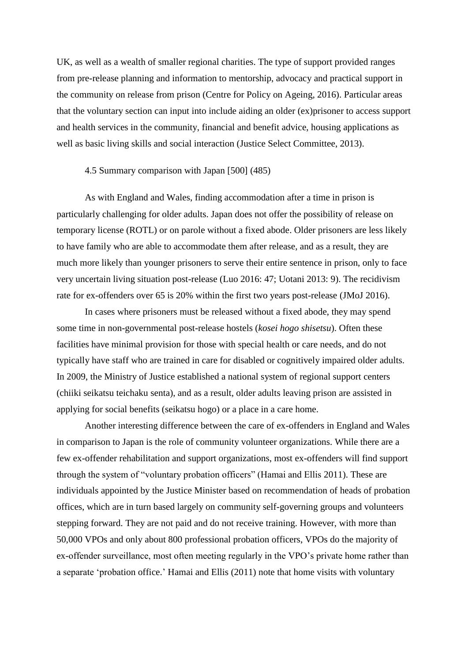UK, as well as a wealth of smaller regional charities. The type of support provided ranges from pre-release planning and information to mentorship, advocacy and practical support in the community on release from prison (Centre for Policy on Ageing, 2016). Particular areas that the voluntary section can input into include aiding an older (ex)prisoner to access support and health services in the community, financial and benefit advice, housing applications as well as basic living skills and social interaction (Justice Select Committee, 2013).

# 4.5 Summary comparison with Japan [500] (485)

As with England and Wales, finding accommodation after a time in prison is particularly challenging for older adults. Japan does not offer the possibility of release on temporary license (ROTL) or on parole without a fixed abode. Older prisoners are less likely to have family who are able to accommodate them after release, and as a result, they are much more likely than younger prisoners to serve their entire sentence in prison, only to face very uncertain living situation post-release (Luo 2016: 47; Uotani 2013: 9). The recidivism rate for ex-offenders over 65 is 20% within the first two years post-release (JMoJ 2016).

In cases where prisoners must be released without a fixed abode, they may spend some time in non-governmental post-release hostels (*kosei hogo shisetsu*). Often these facilities have minimal provision for those with special health or care needs, and do not typically have staff who are trained in care for disabled or cognitively impaired older adults. In 2009, the Ministry of Justice established a national system of regional support centers (chiiki seikatsu teichaku senta), and as a result, older adults leaving prison are assisted in applying for social benefits (seikatsu hogo) or a place in a care home.

Another interesting difference between the care of ex-offenders in England and Wales in comparison to Japan is the role of community volunteer organizations. While there are a few ex-offender rehabilitation and support organizations, most ex-offenders will find support through the system of "voluntary probation officers" (Hamai and Ellis 2011). These are individuals appointed by the Justice Minister based on recommendation of heads of probation offices, which are in turn based largely on community self-governing groups and volunteers stepping forward. They are not paid and do not receive training. However, with more than 50,000 VPOs and only about 800 professional probation officers, VPOs do the majority of ex-offender surveillance, most often meeting regularly in the VPO's private home rather than a separate 'probation office.' Hamai and Ellis (2011) note that home visits with voluntary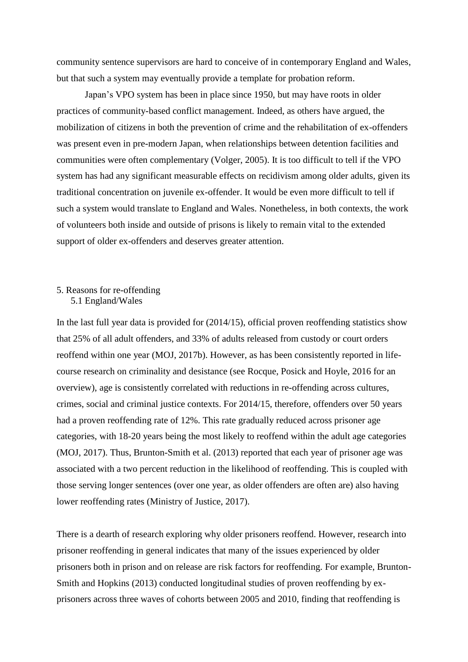community sentence supervisors are hard to conceive of in contemporary England and Wales, but that such a system may eventually provide a template for probation reform.

Japan's VPO system has been in place since 1950, but may have roots in older practices of community-based conflict management. Indeed, as others have argued, the mobilization of citizens in both the prevention of crime and the rehabilitation of ex-offenders was present even in pre-modern Japan, when relationships between detention facilities and communities were often complementary (Volger, 2005). It is too difficult to tell if the VPO system has had any significant measurable effects on recidivism among older adults, given its traditional concentration on juvenile ex-offender. It would be even more difficult to tell if such a system would translate to England and Wales. Nonetheless, in both contexts, the work of volunteers both inside and outside of prisons is likely to remain vital to the extended support of older ex-offenders and deserves greater attention.

# 5. Reasons for re-offending 5.1 England/Wales

In the last full year data is provided for (2014/15), official proven reoffending statistics show that 25% of all adult offenders, and 33% of adults released from custody or court orders reoffend within one year (MOJ, 2017b). However, as has been consistently reported in lifecourse research on criminality and desistance (see Rocque, Posick and Hoyle, 2016 for an overview), age is consistently correlated with reductions in re-offending across cultures, crimes, social and criminal justice contexts. For 2014/15, therefore, offenders over 50 years had a proven reoffending rate of 12%. This rate gradually reduced across prisoner age categories, with 18-20 years being the most likely to reoffend within the adult age categories (MOJ, 2017). Thus, Brunton-Smith et al. (2013) reported that each year of prisoner age was associated with a two percent reduction in the likelihood of reoffending. This is coupled with those serving longer sentences (over one year, as older offenders are often are) also having lower reoffending rates (Ministry of Justice, 2017).

There is a dearth of research exploring why older prisoners reoffend. However, research into prisoner reoffending in general indicates that many of the issues experienced by older prisoners both in prison and on release are risk factors for reoffending. For example, Brunton-Smith and Hopkins (2013) conducted longitudinal studies of proven reoffending by exprisoners across three waves of cohorts between 2005 and 2010, finding that reoffending is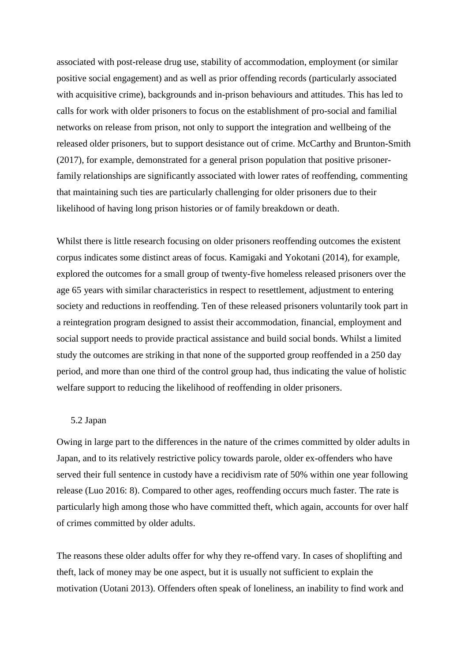associated with post-release drug use, stability of accommodation, employment (or similar positive social engagement) and as well as prior offending records (particularly associated with acquisitive crime), backgrounds and in-prison behaviours and attitudes. This has led to calls for work with older prisoners to focus on the establishment of pro-social and familial networks on release from prison, not only to support the integration and wellbeing of the released older prisoners, but to support desistance out of crime. McCarthy and Brunton-Smith (2017), for example, demonstrated for a general prison population that positive prisonerfamily relationships are significantly associated with lower rates of reoffending, commenting that maintaining such ties are particularly challenging for older prisoners due to their likelihood of having long prison histories or of family breakdown or death.

Whilst there is little research focusing on older prisoners reoffending outcomes the existent corpus indicates some distinct areas of focus. Kamigaki and Yokotani (2014), for example, explored the outcomes for a small group of twenty-five homeless released prisoners over the age 65 years with similar characteristics in respect to resettlement, adjustment to entering society and reductions in reoffending. Ten of these released prisoners voluntarily took part in a reintegration program designed to assist their accommodation, financial, employment and social support needs to provide practical assistance and build social bonds. Whilst a limited study the outcomes are striking in that none of the supported group reoffended in a 250 day period, and more than one third of the control group had, thus indicating the value of holistic welfare support to reducing the likelihood of reoffending in older prisoners.

### 5.2 Japan

Owing in large part to the differences in the nature of the crimes committed by older adults in Japan, and to its relatively restrictive policy towards parole, older ex-offenders who have served their full sentence in custody have a recidivism rate of 50% within one year following release (Luo 2016: 8). Compared to other ages, reoffending occurs much faster. The rate is particularly high among those who have committed theft, which again, accounts for over half of crimes committed by older adults.

The reasons these older adults offer for why they re-offend vary. In cases of shoplifting and theft, lack of money may be one aspect, but it is usually not sufficient to explain the motivation (Uotani 2013). Offenders often speak of loneliness, an inability to find work and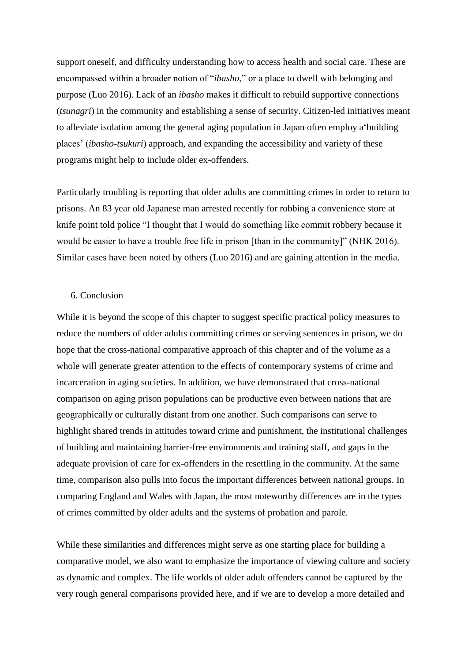support oneself, and difficulty understanding how to access health and social care. These are encompassed within a broader notion of "*ibasho*," or a place to dwell with belonging and purpose (Luo 2016). Lack of an *ibasho* makes it difficult to rebuild supportive connections (*tsunagri*) in the community and establishing a sense of security. Citizen-led initiatives meant to alleviate isolation among the general aging population in Japan often employ a'building places' (*ibasho-tsukuri*) approach, and expanding the accessibility and variety of these programs might help to include older ex-offenders.

Particularly troubling is reporting that older adults are committing crimes in order to return to prisons. An 83 year old Japanese man arrested recently for robbing a convenience store at knife point told police "I thought that I would do something like commit robbery because it would be easier to have a trouble free life in prison [than in the community]" (NHK 2016). Similar cases have been noted by others (Luo 2016) and are gaining attention in the media.

### 6. Conclusion

While it is beyond the scope of this chapter to suggest specific practical policy measures to reduce the numbers of older adults committing crimes or serving sentences in prison, we do hope that the cross-national comparative approach of this chapter and of the volume as a whole will generate greater attention to the effects of contemporary systems of crime and incarceration in aging societies. In addition, we have demonstrated that cross-national comparison on aging prison populations can be productive even between nations that are geographically or culturally distant from one another. Such comparisons can serve to highlight shared trends in attitudes toward crime and punishment, the institutional challenges of building and maintaining barrier-free environments and training staff, and gaps in the adequate provision of care for ex-offenders in the resettling in the community. At the same time, comparison also pulls into focus the important differences between national groups. In comparing England and Wales with Japan, the most noteworthy differences are in the types of crimes committed by older adults and the systems of probation and parole.

While these similarities and differences might serve as one starting place for building a comparative model, we also want to emphasize the importance of viewing culture and society as dynamic and complex. The life worlds of older adult offenders cannot be captured by the very rough general comparisons provided here, and if we are to develop a more detailed and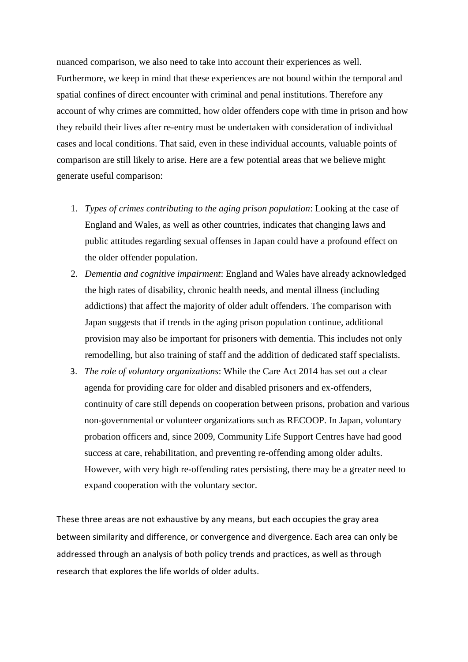nuanced comparison, we also need to take into account their experiences as well. Furthermore, we keep in mind that these experiences are not bound within the temporal and spatial confines of direct encounter with criminal and penal institutions. Therefore any account of why crimes are committed, how older offenders cope with time in prison and how they rebuild their lives after re-entry must be undertaken with consideration of individual cases and local conditions. That said, even in these individual accounts, valuable points of comparison are still likely to arise. Here are a few potential areas that we believe might generate useful comparison:

- 1. *Types of crimes contributing to the aging prison population*: Looking at the case of England and Wales, as well as other countries, indicates that changing laws and public attitudes regarding sexual offenses in Japan could have a profound effect on the older offender population.
- 2. *Dementia and cognitive impairment*: England and Wales have already acknowledged the high rates of disability, chronic health needs, and mental illness (including addictions) that affect the majority of older adult offenders. The comparison with Japan suggests that if trends in the aging prison population continue, additional provision may also be important for prisoners with dementia. This includes not only remodelling, but also training of staff and the addition of dedicated staff specialists.
- 3. *The role of voluntary organizations*: While the Care Act 2014 has set out a clear agenda for providing care for older and disabled prisoners and ex-offenders, continuity of care still depends on cooperation between prisons, probation and various non-governmental or volunteer organizations such as RECOOP. In Japan, voluntary probation officers and, since 2009, Community Life Support Centres have had good success at care, rehabilitation, and preventing re-offending among older adults. However, with very high re-offending rates persisting, there may be a greater need to expand cooperation with the voluntary sector.

These three areas are not exhaustive by any means, but each occupies the gray area between similarity and difference, or convergence and divergence. Each area can only be addressed through an analysis of both policy trends and practices, as well as through research that explores the life worlds of older adults.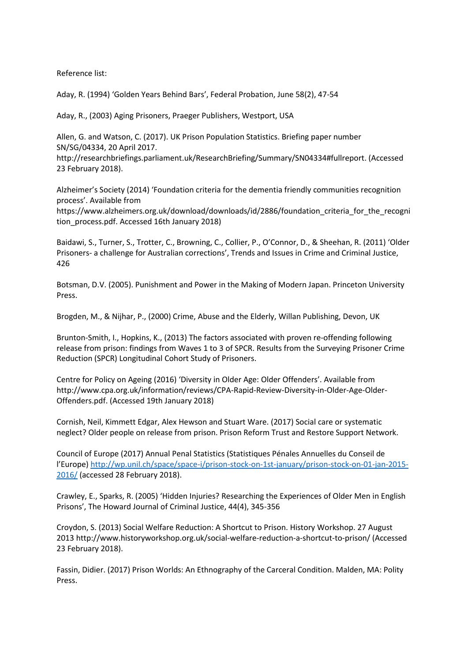Reference list:

Aday, R. (1994) 'Golden Years Behind Bars', Federal Probation, June 58(2), 47-54

Aday, R., (2003) Aging Prisoners, Praeger Publishers, Westport, USA

Allen, G. and Watson, C. (2017). UK Prison Population Statistics. Briefing paper number SN/SG/04334, 20 April 2017.

http://researchbriefings.parliament.uk/ResearchBriefing/Summary/SN04334#fullreport. (Accessed 23 February 2018).

Alzheimer's Society (2014) 'Foundation criteria for the dementia friendly communities recognition process'. Available from

https://www.alzheimers.org.uk/download/downloads/id/2886/foundation\_criteria\_for\_the\_recogni tion\_process.pdf. Accessed 16th January 2018)

Baidawi, S., Turner, S., Trotter, C., Browning, C., Collier, P., O'Connor, D., & Sheehan, R. (2011) 'Older Prisoners- a challenge for Australian corrections', Trends and Issues in Crime and Criminal Justice, 426

Botsman, D.V. (2005). Punishment and Power in the Making of Modern Japan. Princeton University Press.

Brogden, M., & Nijhar, P., (2000) Crime, Abuse and the Elderly, Willan Publishing, Devon, UK

Brunton-Smith, I., Hopkins, K., (2013) The factors associated with proven re-offending following release from prison: findings from Waves 1 to 3 of SPCR. Results from the Surveying Prisoner Crime Reduction (SPCR) Longitudinal Cohort Study of Prisoners.

Centre for Policy on Ageing (2016) 'Diversity in Older Age: Older Offenders'. Available from http://www.cpa.org.uk/information/reviews/CPA-Rapid-Review-Diversity-in-Older-Age-Older-Offenders.pdf. (Accessed 19th January 2018)

Cornish, Neil, Kimmett Edgar, Alex Hewson and Stuart Ware. (2017) Social care or systematic neglect? Older people on release from prison. Prison Reform Trust and Restore Support Network.

Council of Europe (2017) Annual Penal Statistics (Statistiques Pénales Annuelles du Conseil de l'Europe) [http://wp.unil.ch/space/space-i/prison-stock-on-1st-january/prison-stock-on-01-jan-2015-](http://wp.unil.ch/space/space-i/prison-stock-on-1st-january/prison-stock-on-01-jan-2015-2016/) [2016/](http://wp.unil.ch/space/space-i/prison-stock-on-1st-january/prison-stock-on-01-jan-2015-2016/) (accessed 28 February 2018).

Crawley, E., Sparks, R. (2005) 'Hidden Injuries? Researching the Experiences of Older Men in English Prisons', The Howard Journal of Criminal Justice, 44(4), 345-356

Croydon, S. (2013) Social Welfare Reduction: A Shortcut to Prison. History Workshop. 27 August 2013 http://www.historyworkshop.org.uk/social-welfare-reduction-a-shortcut-to-prison/ (Accessed 23 February 2018).

Fassin, Didier. (2017) Prison Worlds: An Ethnography of the Carceral Condition. Malden, MA: Polity Press.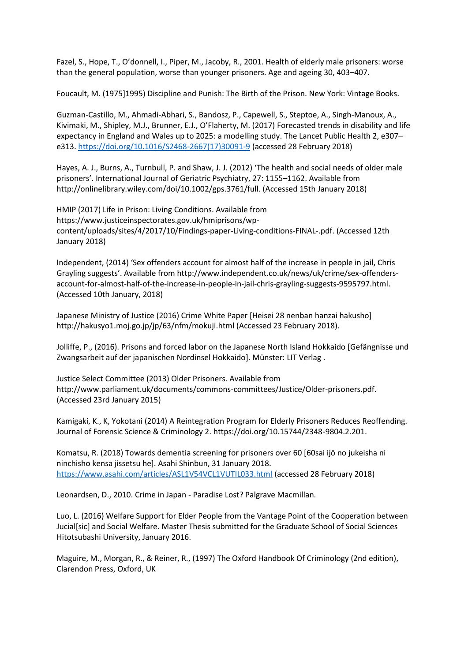Fazel, S., Hope, T., O'donnell, I., Piper, M., Jacoby, R., 2001. Health of elderly male prisoners: worse than the general population, worse than younger prisoners. Age and ageing 30, 403–407.

Foucault, M. (1975]1995) Discipline and Punish: The Birth of the Prison. New York: Vintage Books.

Guzman-Castillo, M., Ahmadi-Abhari, S., Bandosz, P., Capewell, S., Steptoe, A., Singh-Manoux, A., Kivimaki, M., Shipley, M.J., Brunner, E.J., O'Flaherty, M. (2017) Forecasted trends in disability and life expectancy in England and Wales up to 2025: a modelling study. The Lancet Public Health 2, e307– e313[. https://doi.org/10.1016/S2468-2667\(17\)30091-9](https://doi.org/10.1016/S2468-2667(17)30091-9) (accessed 28 February 2018)

Hayes, A. J., Burns, A., Turnbull, P. and Shaw, J. J. (2012) 'The health and social needs of older male prisoners'. International Journal of Geriatric Psychiatry, 27: 1155–1162. Available from http://onlinelibrary.wiley.com/doi/10.1002/gps.3761/full. (Accessed 15th January 2018)

HMIP (2017) Life in Prison: Living Conditions. Available from https://www.justiceinspectorates.gov.uk/hmiprisons/wpcontent/uploads/sites/4/2017/10/Findings-paper-Living-conditions-FINAL-.pdf. (Accessed 12th January 2018)

Independent, (2014) 'Sex offenders account for almost half of the increase in people in jail, Chris Grayling suggests'. Available from http://www.independent.co.uk/news/uk/crime/sex-offendersaccount-for-almost-half-of-the-increase-in-people-in-jail-chris-grayling-suggests-9595797.html. (Accessed 10th January, 2018)

Japanese Ministry of Justice (2016) Crime White Paper [Heisei 28 nenban hanzai hakusho] http://hakusyo1.moj.go.jp/jp/63/nfm/mokuji.html (Accessed 23 February 2018).

Jolliffe, P., (2016). Prisons and forced labor on the Japanese North Island Hokkaido [Gefängnisse und Zwangsarbeit auf der japanischen Nordinsel Hokkaido]. Münster: LIT Verlag .

Justice Select Committee (2013) Older Prisoners. Available from http://www.parliament.uk/documents/commons-committees/Justice/Older-prisoners.pdf. (Accessed 23rd January 2015)

Kamigaki, K., K, Yokotani (2014) A Reintegration Program for Elderly Prisoners Reduces Reoffending. Journal of Forensic Science & Criminology 2. https://doi.org/10.15744/2348-9804.2.201.

Komatsu, R. (2018) Towards dementia screening for prisoners over 60 [60sai ijō no jukeisha ni ninchisho kensa jissetsu he]. Asahi Shinbun, 31 January 2018. <https://www.asahi.com/articles/ASL1V54VCL1VUTIL033.html> (accessed 28 February 2018)

Leonardsen, D., 2010. Crime in Japan - Paradise Lost? Palgrave Macmillan.

Luo, L. (2016) Welfare Support for Elder People from the Vantage Point of the Cooperation between Jucial[sic] and Social Welfare. Master Thesis submitted for the Graduate School of Social Sciences Hitotsubashi University, January 2016.

Maguire, M., Morgan, R., & Reiner, R., (1997) The Oxford Handbook Of Criminology (2nd edition), Clarendon Press, Oxford, UK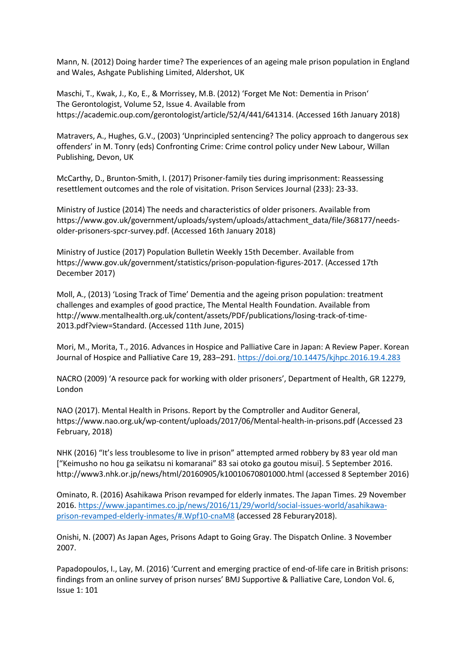Mann, N. (2012) Doing harder time? The experiences of an ageing male prison population in England and Wales, Ashgate Publishing Limited, Aldershot, UK

Maschi, T., Kwak, J., Ko, E., & Morrissey, M.B. (2012) 'Forget Me Not: Dementia in Prison' The Gerontologist, Volume 52, Issue 4. Available from https://academic.oup.com/gerontologist/article/52/4/441/641314. (Accessed 16th January 2018)

Matravers, A., Hughes, G.V., (2003) 'Unprincipled sentencing? The policy approach to dangerous sex offenders' in M. Tonry (eds) Confronting Crime: Crime control policy under New Labour, Willan Publishing, Devon, UK

McCarthy, D., Brunton-Smith, I. (2017) Prisoner-family ties during imprisonment: Reassessing resettlement outcomes and the role of visitation. Prison Services Journal (233): 23-33.

Ministry of Justice (2014) The needs and characteristics of older prisoners. Available from https://www.gov.uk/government/uploads/system/uploads/attachment\_data/file/368177/needsolder-prisoners-spcr-survey.pdf. (Accessed 16th January 2018)

Ministry of Justice (2017) Population Bulletin Weekly 15th December. Available from https://www.gov.uk/government/statistics/prison-population-figures-2017. (Accessed 17th December 2017)

Moll, A., (2013) 'Losing Track of Time' Dementia and the ageing prison population: treatment challenges and examples of good practice, The Mental Health Foundation. Available from http://www.mentalhealth.org.uk/content/assets/PDF/publications/losing-track-of-time-2013.pdf?view=Standard. (Accessed 11th June, 2015)

Mori, M., Morita, T., 2016. Advances in Hospice and Palliative Care in Japan: A Review Paper. Korean Journal of Hospice and Palliative Care 19, 283–291.<https://doi.org/10.14475/kjhpc.2016.19.4.283>

NACRO (2009) 'A resource pack for working with older prisoners', Department of Health, GR 12279, London

NAO (2017). Mental Health in Prisons. Report by the Comptroller and Auditor General, https://www.nao.org.uk/wp-content/uploads/2017/06/Mental-health-in-prisons.pdf (Accessed 23 February, 2018)

NHK (2016) "It's less troublesome to live in prison" attempted armed robbery by 83 year old man ["Keimusho no hou ga seikatsu ni komaranai" 83 sai otoko ga goutou misui]. 5 September 2016. http://www3.nhk.or.jp/news/html/20160905/k10010670801000.html (accessed 8 September 2016)

Ominato, R. (2016) Asahikawa Prison revamped for elderly inmates. The Japan Times. 29 November 2016[. https://www.japantimes.co.jp/news/2016/11/29/world/social-issues-world/asahikawa](https://www.japantimes.co.jp/news/2016/11/29/world/social-issues-world/asahikawa-prison-revamped-elderly-inmates/#.Wpf10-cnaM8)[prison-revamped-elderly-inmates/#.Wpf10-cnaM8](https://www.japantimes.co.jp/news/2016/11/29/world/social-issues-world/asahikawa-prison-revamped-elderly-inmates/#.Wpf10-cnaM8) (accessed 28 Feburary2018).

Onishi, N. (2007) As Japan Ages, Prisons Adapt to Going Gray. The Dispatch Online. 3 November 2007.

Papadopoulos, I., Lay, M. (2016) 'Current and emerging practice of end-of-life care in British prisons: findings from an online survey of prison nurses' BMJ Supportive & Palliative Care, London Vol. 6, Issue 1: 101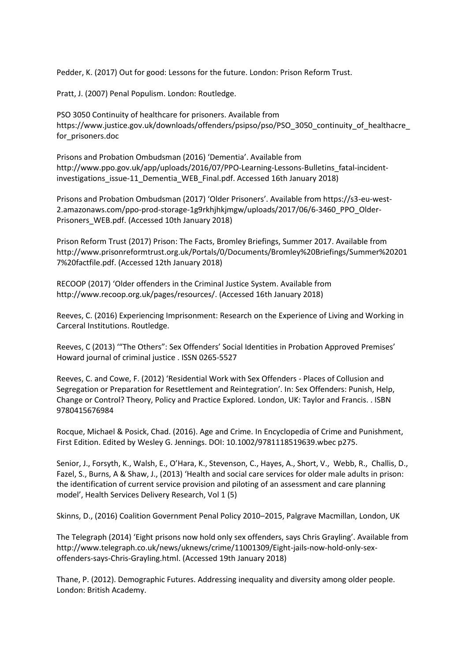Pedder, K. (2017) Out for good: Lessons for the future. London: Prison Reform Trust.

Pratt, J. (2007) Penal Populism. London: Routledge.

PSO 3050 Continuity of healthcare for prisoners. Available from https://www.justice.gov.uk/downloads/offenders/psipso/pso/PSO\_3050\_continuity\_of\_healthacre\_ for prisoners.doc

Prisons and Probation Ombudsman (2016) 'Dementia'. Available from http://www.ppo.gov.uk/app/uploads/2016/07/PPO-Learning-Lessons-Bulletins\_fatal-incidentinvestigations\_issue-11\_Dementia\_WEB\_Final.pdf. Accessed 16th January 2018)

Prisons and Probation Ombudsman (2017) 'Older Prisoners'. Available from https://s3-eu-west-2.amazonaws.com/ppo-prod-storage-1g9rkhjhkjmgw/uploads/2017/06/6-3460\_PPO\_Older-Prisoners\_WEB.pdf. (Accessed 10th January 2018)

Prison Reform Trust (2017) Prison: The Facts, Bromley Briefings, Summer 2017. Available from http://www.prisonreformtrust.org.uk/Portals/0/Documents/Bromley%20Briefings/Summer%20201 7%20factfile.pdf. (Accessed 12th January 2018)

RECOOP (2017) 'Older offenders in the Criminal Justice System. Available from http://www.recoop.org.uk/pages/resources/. (Accessed 16th January 2018)

Reeves, C. (2016) Experiencing Imprisonment: Research on the Experience of Living and Working in Carceral Institutions. Routledge.

Reeves, C (2013) '"The Others": Sex Offenders' Social Identities in Probation Approved Premises' Howard journal of criminal justice . ISSN 0265-5527

Reeves, C. and Cowe, F. (2012) 'Residential Work with Sex Offenders - Places of Collusion and Segregation or Preparation for Resettlement and Reintegration'. In: Sex Offenders: Punish, Help, Change or Control? Theory, Policy and Practice Explored. London, UK: Taylor and Francis. . ISBN 9780415676984

Rocque, Michael & Posick, Chad. (2016). Age and Crime. In Encyclopedia of Crime and Punishment, First Edition. Edited by Wesley G. Jennings. DOI: 10.1002/9781118519639.wbec p275.

Senior, J., Forsyth, K., Walsh, E., O'Hara, K., Stevenson, C., Hayes, A., Short, V., Webb, R., Challis, D., Fazel, S., Burns, A & Shaw, J., (2013) 'Health and social care services for older male adults in prison: the identification of current service provision and piloting of an assessment and care planning model', Health Services Delivery Research, Vol 1 (5)

Skinns, D., (2016) Coalition Government Penal Policy 2010–2015, Palgrave Macmillan, London, UK

The Telegraph (2014) 'Eight prisons now hold only sex offenders, says Chris Grayling'. Available from http://www.telegraph.co.uk/news/uknews/crime/11001309/Eight-jails-now-hold-only-sexoffenders-says-Chris-Grayling.html. (Accessed 19th January 2018)

Thane, P. (2012). Demographic Futures. Addressing inequality and diversity among older people. London: British Academy.